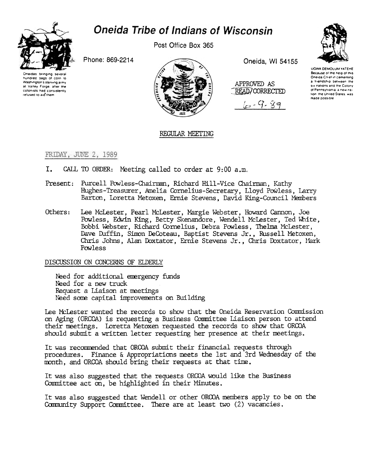



Post Office Box 365

Phone: 869-2214





Oneida, WI 54155





UGWA DEMOLUM YATERE Because of the help of this Oneida Chief in cementing a friendship between the six nations and the Colony of Pennsylvania, a new nation, the United States, was made possible

## REGULAR MEETING

FRIDAY, JUNE 2, 1989

- T. CALL TO ORDER: Meeting called to order at 9:00 a.m.
- Present: Purcell Powless-Chairman, Richard Hill-Vice Chairman, Kathy Hughes-Treasurer, Amelia Cornelius-Secretary, Lloyd Powless, Larry Barton, Loretta Metoxen, Ernie Stevens, David King-Council Members
- Others: Lee McLester, Pearl McLester, Margie Webster, Howard Cannon, Joe Powless, Edwin King, Betty Skenandore, Wendell McLester, Ted White, Bobbi Webster, Richard Cornelius, Debra Powless, Thelma McLester, Dave Duffin, Simon DeCoteau, Baptist Stevens Jr., Russell Metoxen, Chris Johns, Alan Doxtator, Ernie Stevens Jr., Chris Doxtator, Mark Powless

## DISCUSSION ON CONCERNS OF ELDERLY

Need for additional emergency funds Need for a new truck Request a Liaison at meetings Need some capital improvements on Building

Lee McLester wanted the records to show that the Oneida Reservation Commission on Aging (ORCOA) is requesting a Business Committee Liaison person to attend their meetings. Loretta Metoxen requested the records to show that ORCOA should submit a written letter requesting her presence at their meetings.

It was recommended that ORCOA submit their financial requests through procedures. Finance & Appropriations meets the 1st and 3rd Wednesday of the month, and ORCOA should bring their requests at that time.

It was also suggested that the requests ORCOA would like the Business Committee act on, be highlighted in their Minutes.

It was also suggested that Wendell or other ORCOA members apply to be on the Community Support Committee. There are at least two (2) vacancies.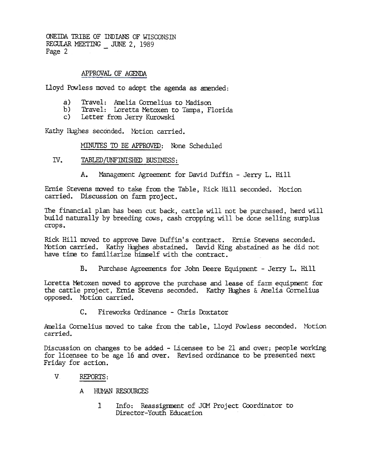ONEIDA TRIBE OF INDIANS OF WISCONSTN REGULAR MEETING  $\_$  JUNE 2, 1989 Page 2

## APPROVAL OF AGENDA

Lloyd Powless moved to adopt the agenda as amended:

- a) Travel: Amelia Cornelius to Madison
- b) Travel: Loretta Metoxen to Tampa, Florida
- c) Letter from Jerry Kurowski

Kathy Iiughes seconded. Motion carried.

MINUTES TO BE APPROVED: None Scheduled

- IV. TABLED/UNFINISHED BUSINESS:
	- A. Management Agreement for David Duffin Jerry L. Hill

Ernie Stevens moved to take from the Table, Rick Hill seconded. Motion carried. Discussion on farm project.

The financial plan has been cut back, cattle will not be purchased, herd will build naturally by breeding cows, cash cropping will be done selling surplus crops.

Rick Hill moved to approve Dave Duffin's contract. Ernie Stevens seconded. Motion carried. Kathy Hughes abstained. David King abstained as he did not have time to familiarize himself with the contract.

> $B<sub>1</sub>$ Purchase Agreements for John Deere Equipment - Jerry L. Hill

Loretta Metoxen moved to approve the purchase and lease of farm equipment for the cattle project, Ernie Stevens seconded. Kathy Hughes & Amelia Cornelius opposed. Motion carried.

C. Fireworks Ordinance - Chris Doxtator

Amelia Cornelius moved to take from the table, Lloyd Powless seconded. Motion carried.

Discussion on changes to be added - Licensee to be 21 and over; people working for licensee to be age 16 and over. Revised ordinance to be presented next Friday for action.

## v REPORTS:

- A HUMAN RESOURCES
	- 1 Info: Reassignment of JOM Project Coordinator to Director-Youth Education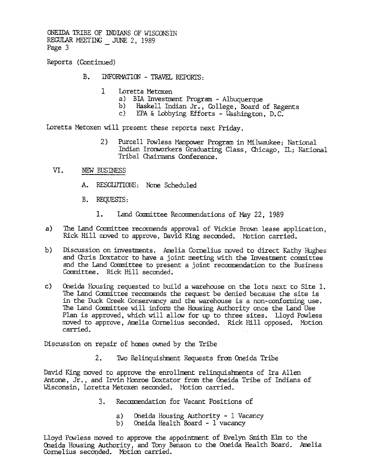ONEIDA TRIBE OF INDIANS OF WISCONSIN REGULAR MEETING  $\_$  JUNE 2, 1989<br>Page 3

Reports (Continued)

- B. INFORMATION TRAVEL REPORTS:
	- 1 Loretta Metoxen
		- a) BIA Investment Program Albuquerque
		- b) Haskell Indian Jr., College, Board of Regents
		- c) EPA & Lobbying Efforts Washington, D.C.

Loretta Metoxen will present these reports next Friday.

- 2) Purcell Powless Manpower Program in Milwaukee; National Indian Ironworkers Graduating Class, Chicago, IL; National Tribal Chairmans Conference.
- VI. NEW BUSINESS
	- A. RESOLUTIONS: None Scheduled
	- B. REQUESTS:
		- 1. Land Committee Recommendations of May 22, 1989
- a) The Land Committee recommends approval of Vickie Brown lease application, Rick Hill moved to approve, David King seconded. Motion carried.
- b) Discussion on investments. Amelia Cornelius moved to direct Kathy Hughes and Chris Doxtator to have a joint meeting with the Investment committee and the Land Committee to present a joint recommendation to the Business Committee. Rick Hill seconded.
- c) Oneida Housing requested to build a warehouse on the lots next to Site 1. The Land Committee recommends the request be denied because the site is in the Duck Creek Conservancy and the warehouse is a non-conforming use. The Land Committee will inform the Housing Authority once the Land Use Plan is approved, which will allow for up to three sites. Lloyd Powless moved to approve, Amelia Cornelius seconded. Rick Hill opposed. Motion carried.

Discussion on repair of banes owned by tbe Tribe

2. Two Relinquishment Requests from Oneida Tribe

David King moved to approve the enrollment relinquishments of Ira Allen Antone, Jr., and Irvin Monroe Doxtator from the Oneida Tribe of Indians of Wisconsin, Loretta Metoxen seconded. Motion carried.

- 3. Recommendation for Vacant Positions of
	- Oneida Housing Authority 1 Vacancy a)
	- Oneida Health Board -1 vacancy  $b)$

Lloyd Powless moved to approve the appointment of Evelyn Smith Elm to the Oneida Housing Authority, and Tony Benson to the Oneida Health Board. Amelia Cornelius seconded. Motion carrie